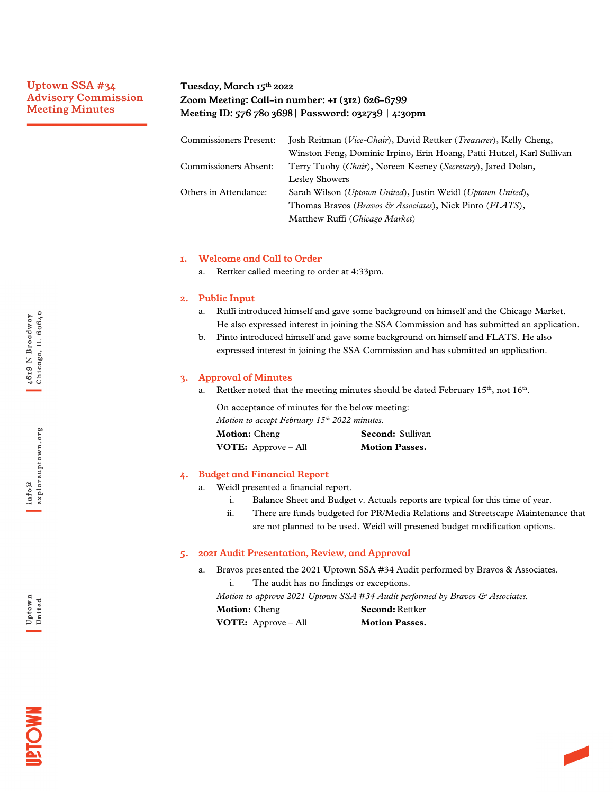# Uptown SSA #34 Advisory Commission Meeting Minutes

# Tuesday, March 15th 2022 Zoom Meeting: Call-in number: +1 (312) 626-6799 Meeting ID: 576 780 3698| Password: 032739 | 4:30pm

| <b>Commissioners Present:</b> | Josh Reitman (Vice-Chair), David Rettker (Treasurer), Kelly Cheng,             |  |
|-------------------------------|--------------------------------------------------------------------------------|--|
|                               | Winston Feng, Dominic Irpino, Erin Hoang, Patti Hutzel, Karl Sullivan          |  |
| Commissioners Absent:         | Terry Tuohy ( <i>Chair</i> ), Noreen Keeney ( <i>Secretary</i> ), Jared Dolan, |  |
|                               | <b>Lesley Showers</b>                                                          |  |
| Others in Attendance:         | Sarah Wilson (Uptown United), Justin Weidl (Uptown United),                    |  |
|                               | Thomas Bravos ( <i>Bravos &amp; Associates</i> ), Nick Pinto ( <i>FLATS</i> ), |  |
|                               | Matthew Ruffi (Chicago Market)                                                 |  |

### 1. Welcome and Call to Order

a. Rettker called meeting to order at 4:33pm.

## 2. Public Input

- a. Ruffi introduced himself and gave some background on himself and the Chicago Market. He also expressed interest in joining the SSA Commission and has submitted an application.
- b. Pinto introduced himself and gave some background on himself and FLATS. He also expressed interest in joining the SSA Commission and has submitted an application.

### 3. Approval of Minutes

a. Rettker noted that the meeting minutes should be dated February  $15<sup>th</sup>$ , not  $16<sup>th</sup>$ .

On acceptance of minutes for the below meeting: *Motion to accept February 15th 2022 minutes.* **Motion:** Cheng **Second:** Sullivan **VOTE:** Approve – All **Motion Passes.** 

## 4. Budget and Financial Report

- a. Weidl presented a financial report.
	- i. Balance Sheet and Budget v. Actuals reports are typical for this time of year.
	- ii. There are funds budgeted for PR/Media Relations and Streetscape Maintenance that are not planned to be used. Weidl will presened budget modification options.

#### 5. 2021 Audit Presentation, Review, and Approval

- a. Bravos presented the 2021 Uptown SSA #34 Audit performed by Bravos & Associates. i. The audit has no findings or exceptions.
	- *Motion to approve 2021 Uptown SSA #34 Audit performed by Bravos & Associates.*

**Motion:** Cheng **Second:** Rettker **VOTE:** Approve – All **Motion Passes.** 



**INOME** 

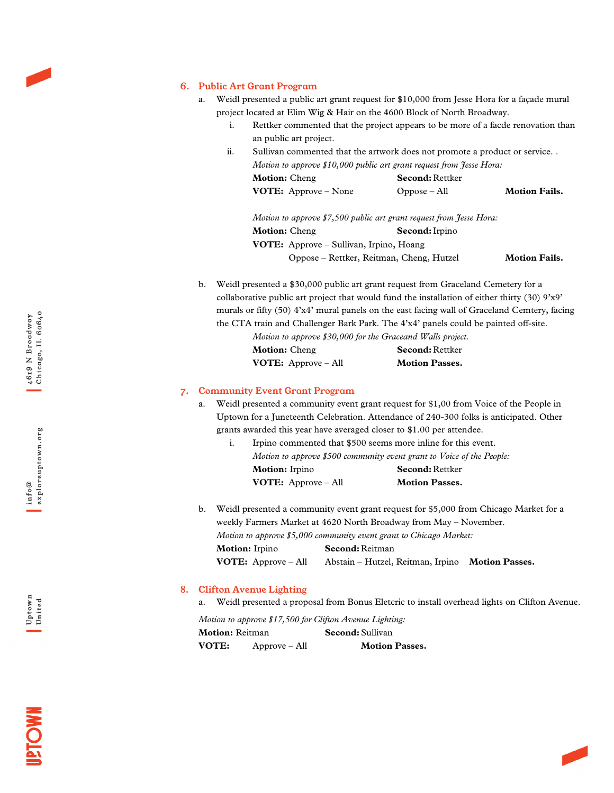## 6. Public Art Grant Program

- a. Weidl presented a public art grant request for \$10,000 from Jesse Hora for a façade mural project located at Elim Wig & Hair on the 4600 Block of North Broadway.
	- i. Rettker commented that the project appears to be more of a facde renovation than an public art project.
	- ii. Sullivan commented that the artwork does not promote a product or service. . *Motion to approve \$10,000 public art grant request from Jesse Hora:*

| <b>Motion:</b> Cheng          | <b>Second:</b> Rettker |                      |
|-------------------------------|------------------------|----------------------|
| <b>VOTE:</b> Approve $-$ None | $Oppose - All$         | <b>Motion Fails.</b> |

*Motion to approve \$7,500 public art grant request from Jesse Hora:* **Motion:** Cheng **Second:**Irpino **VOTE:** Approve – Sullivan, Irpino, Hoang Oppose – Rettker, Reitman, Cheng, Hutzel **Motion Fails.**

b. Weidl presented a \$30,000 public art grant request from Graceland Cemetery for a collaborative public art project that would fund the installation of either thirty (30) 9'x9' murals or fifty (50) 4'x4' mural panels on the east facing wall of Graceland Cemtery, facing the CTA train and Challenger Bark Park. The 4'x4' panels could be painted off-site.

| Motion to approve \$30,000 for the Graceand Walls project. |                        |
|------------------------------------------------------------|------------------------|
| <b>Motion:</b> Cheng                                       | <b>Second: Rettker</b> |
| <b>VOTE:</b> Approve $-$ All                               | <b>Motion Passes.</b>  |

#### 7. Community Event Grant Program

a. Weidl presented a community event grant request for \$1,00 from Voice of the People in Uptown for a Juneteenth Celebration. Attendance of 240-300 folks is anticipated. Other grants awarded this year have averaged closer to \$1.00 per attendee.

|                              | Irpino commented that \$500 seems more inline for this event.         |
|------------------------------|-----------------------------------------------------------------------|
|                              | Motion to approve \$500 community event grant to Voice of the People: |
| <b>Motion:</b> Irpino        | <b>Second:</b> Rettker                                                |
| <b>VOTE:</b> Approve $-$ All | <b>Motion Passes.</b>                                                 |

b. Weidl presented a community event grant request for \$5,000 from Chicago Market for a weekly Farmers Market at 4620 North Broadway from May – November. *Motion to approve \$5,000 community event grant to Chicago Market:* **Motion:** Irpino **Second:** Reitman

**VOTE:** Approve – All Abstain – Hutzel, Reitman, Irpino **Motion Passes.**

### 8. Clifton Avenue Lighting

a. Weidl presented a proposal from Bonus Eletcric to install overhead lights on Clifton Avenue.

*Motion to approve \$17,500 for Clifton Avenue Lighting:*

| <b>Motion: Reitman</b> |                 | <b>Second:</b> Sullivan |
|------------------------|-----------------|-------------------------|
| VOTE:                  | $Approve - All$ | <b>Motion Passes.</b>   |